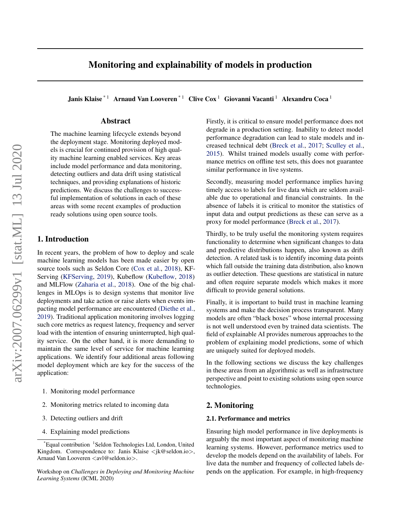# Monitoring and explainability of models in production

Janis Klaise<sup>\* 1</sup> Arnaud Van Looveren<sup>\* 1</sup> Clive Cox<sup>1</sup> Giovanni Vacanti<sup>1</sup> Alexandru Coca<sup>1</sup>

# Abstract

The machine learning lifecycle extends beyond the deployment stage. Monitoring deployed models is crucial for continued provision of high quality machine learning enabled services. Key areas include model performance and data monitoring, detecting outliers and data drift using statistical techniques, and providing explanations of historic predictions. We discuss the challenges to successful implementation of solutions in each of these areas with some recent examples of production ready solutions using open source tools.

# 1. Introduction

In recent years, the problem of how to deploy and scale machine learning models has been made easier by open source tools such as Seldon Core [\(Cox et al.,](#page-4-0) [2018\)](#page-4-0), KF-Serving [\(KFServing,](#page-5-0) [2019\)](#page-5-0), Kubeflow [\(Kubeflow,](#page-5-0) [2018\)](#page-5-0) and MLFlow [\(Zaharia et al.,](#page-6-0) [2018\)](#page-6-0). One of the big challenges in MLOps is to design systems that monitor live deployments and take action or raise alerts when events impacting model performance are encountered [\(Diethe et al.,](#page-4-0) [2019\)](#page-4-0). Traditional application monitoring involves logging such core metrics as request latency, frequency and server load with the intention of ensuring uninterrupted, high quality service. On the other hand, it is more demanding to maintain the same level of service for machine learning applications. We identify four additional areas following model deployment which are key for the success of the application:

- 1. Monitoring model performance
- 2. Monitoring metrics related to incoming data
- 3. Detecting outliers and drift
- 4. Explaining model predictions

Firstly, it is critical to ensure model performance does not degrade in a production setting. Inability to detect model performance degradation can lead to stale models and increased technical debt [\(Breck et al.,](#page-4-0) [2017;](#page-4-0) [Sculley et al.,](#page-5-0) [2015\)](#page-5-0). Whilst trained models usually come with performance metrics on offline test sets, this does not guarantee similar performance in live systems.

Secondly, measuring model performance implies having timely access to labels for live data which are seldom available due to operational and financial constraints. In the absence of labels it is critical to monitor the statistics of input data and output predictions as these can serve as a proxy for model performance [\(Breck et al.,](#page-4-0) [2017\)](#page-4-0).

Thirdly, to be truly useful the monitoring system requires functionality to determine when significant changes to data and predictive distributions happen, also known as drift detection. A related task is to identify incoming data points which fall outside the training data distribution, also known as outlier detection. These questions are statistical in nature and often require separate models which makes it more difficult to provide general solutions.

Finally, it is important to build trust in machine learning systems and make the decision process transparent. Many models are often "black boxes" whose internal processing is not well understood even by trained data scientists. The field of explainable AI provides numerous approaches to the problem of explaining model predictions, some of which are uniquely suited for deployed models.

In the following sections we discuss the key challenges in these areas from an algorithmic as well as infrastructure perspective and point to existing solutions using open source technologies.

## 2. Monitoring

### 2.1. Performance and metrics

Ensuring high model performance in live deployments is arguably the most important aspect of monitoring machine learning systems. However, performance metrics used to develop the models depend on the availability of labels. For live data the number and frequency of collected labels depends on the application. For example, in high-frequency

<sup>\*</sup>Equal contribution <sup>1</sup>Seldon Technologies Ltd, London, United Kingdom. Correspondence to: Janis Klaise  $\langle k \otimes \text{seldon.io} \rangle$ , Arnaud Van Looveren <avl@seldon.io>.

Workshop on *Challenges in Deploying and Monitoring Machine Learning Systems* (ICML 2020)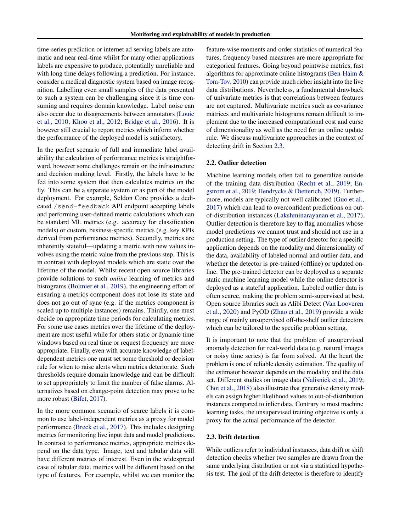time-series prediction or internet ad serving labels are automatic and near real-time whilst for many other applications labels are expensive to produce, potentially unreliable and with long time delays following a prediction. For instance, consider a medical diagnostic system based on image recognition. Labelling even small samples of the data presented to such a system can be challenging since it is time consuming and requires domain knowledge. Label noise can also occur due to disagreements between annotators [\(Louie](#page-5-0) [et al.,](#page-5-0) [2010;](#page-5-0) [Khoo et al.,](#page-5-0) [2012;](#page-5-0) [Bridge et al.,](#page-4-0) [2016\)](#page-4-0). It is however still crucial to report metrics which inform whether the performance of the deployed model is satisfactory.

In the perfect scenario of full and immediate label availability the calculation of performance metrics is straightforward, however some challenges remain on the infrastructure and decision making level. Firstly, the labels have to be fed into some system that then calculates metrics on the fly. This can be a separate system or as part of the model deployment. For example, Seldon Core provides a dedicated /send-feedback API endpoint accepting labels and performing user-defined metric calculations which can be standard ML metrics (e.g. accuracy for classification models) or custom, business-specific metrics (e.g. key KPIs derived from performance metrics). Secondly, metrics are inherently stateful—updating a metric with new values involves using the metric value from the previous step. This is in contrast with deployed models which are static over the lifetime of the model. Whilst recent open source libraries provide solutions to such *online* learning of metrics and histograms [\(Bolmier et al.,](#page-4-0) [2019\)](#page-4-0), the engineering effort of ensuring a metrics component does not lose its state and does not go out of sync (e.g. if the metrics component is scaled up to multiple instances) remains. Thirdly, one must decide on appropriate time periods for calculating metrics. For some use cases metrics over the lifetime of the deployment are most useful while for others static or dynamic time windows based on real time or request frequency are more appropriate. Finally, even with accurate knowledge of labeldependent metrics one must set some threshold or decision rule for when to raise alerts when metrics deteriorate. Such thresholds require domain knowledge and can be difficult to set appropriately to limit the number of false alarms. Alternatives based on change-point detection may prove to be more robust [\(Bifet,](#page-4-0) [2017\)](#page-4-0).

In the more common scenario of scarce labels it is common to use label-independent metrics as a proxy for model performance [\(Breck et al.,](#page-4-0) [2017\)](#page-4-0). This includes designing metrics for monitoring live input data and model predictions. In contrast to performance metrics, appropriate metrics depend on the data type. Image, text and tabular data will have different metrics of interest. Even in the widespread case of tabular data, metrics will be different based on the type of features. For example, whilst we can monitor the

feature-wise moments and order statistics of numerical features, frequency based measures are more appropriate for categorical features. Going beyond pointwise metrics, fast algorithms for approximate online histograms [\(Ben-Haim &](#page-4-0) [Tom-Tov,](#page-4-0) [2010\)](#page-4-0) can provide much richer insight into the live data distributions. Nevertheless, a fundamental drawback of univariate metrics is that correlations between features are not captured. Multivariate metrics such as covariance matrices and multivariate histograms remain difficult to implement due to the increased computational cost and curse of dimensionality as well as the need for an online update rule. We discuss multivariate approaches in the context of detecting drift in Section 2.3.

### 2.2. Outlier detection

Machine learning models often fail to generalize outside of the training data distribution [\(Recht et al.,](#page-5-0) [2019;](#page-5-0) [En](#page-4-0)[gstrom et al.,](#page-4-0) [2019;](#page-4-0) [Hendrycks & Dietterich,](#page-5-0) [2019\)](#page-5-0). Furthermore, models are typically not well calibrated [\(Guo et al.,](#page-4-0) [2017\)](#page-4-0) which can lead to overconfident predictions on outof-distribution instances [\(Lakshminarayanan et al.,](#page-5-0) [2017\)](#page-5-0). Outlier detection is therefore key to flag anomalies whose model predictions we cannot trust and should not use in a production setting. The type of outlier detector for a specific application depends on the modality and dimensionality of the data, availability of labeled normal and outlier data, and whether the detector is pre-trained (offline) or updated online. The pre-trained detector can be deployed as a separate static machine learning model while the online detector is deployed as a stateful application. Labeled outlier data is often scarce, making the problem semi-supervised at best. Open source libraries such as Alibi Detect [\(Van Looveren](#page-6-0) [et al.,](#page-6-0) [2020\)](#page-6-0) and PyOD [\(Zhao et al.,](#page-6-0) [2019\)](#page-6-0) provide a wide range of mainly unsupervised off-the-shelf outlier detectors which can be tailored to the specific problem setting.

It is important to note that the problem of unsupervised anomaly detection for real-world data (e.g. natural images or noisy time series) is far from solved. At the heart the problem is one of reliable density estimation. The quality of the estimator however depends on the modality and the data set. Different studies on image data [\(Nalisnick et al.,](#page-5-0) [2019;](#page-5-0) [Choi et al.,](#page-4-0) [2018\)](#page-4-0) also illustrate that generative density models can assign higher likelihood values to out-of-distribution instances compared to inlier data. Contrary to most machine learning tasks, the unsupervised training objective is only a proxy for the actual performance of the detector.

### 2.3. Drift detection

While outliers refer to individual instances, data drift or shift detection checks whether two samples are drawn from the same underlying distribution or not via a statistical hypothesis test. The goal of the drift detector is therefore to identify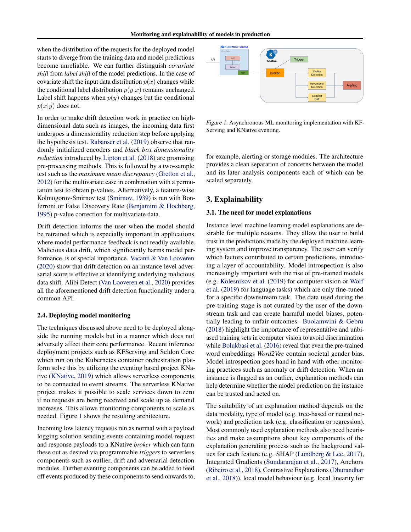when the distribution of the requests for the deployed model starts to diverge from the training data and model predictions become unreliable. We can further distinguish *covariate shift* from *label shift* of the model predictions. In the case of covariate shift the input data distribution  $p(x)$  changes while the conditional label distribution  $p(y|x)$  remains unchanged. Label shift happens when  $p(y)$  changes but the conditional  $p(x|y)$  does not.

In order to make drift detection work in practice on highdimensional data such as images, the incoming data first undergoes a dimensionality reduction step before applying the hypothesis test. [Rabanser et al.](#page-5-0) [\(2019\)](#page-5-0) observe that randomly initialized encoders and *black box dimensionality reduction* introduced by [Lipton et al.](#page-5-0) [\(2018\)](#page-5-0) are promising pre-processing methods. This is followed by a two-sample test such as the *maximum mean discrepancy* [\(Gretton et al.,](#page-4-0) [2012\)](#page-4-0) for the multivariate case in combination with a permutation test to obtain p-values. Alternatively, a feature-wise Kolmogorov-Smirnov test [\(Smirnov,](#page-6-0) [1939\)](#page-6-0) is run with Bonferroni or False Discovery Rate [\(Benjamini & Hochberg,](#page-4-0) [1995\)](#page-4-0) p-value correction for multivariate data.

Drift detection informs the user when the model should be retrained which is especially important in applications where model performance feedback is not readily available. Malicious data drift, which significantly harms model performance, is of special importance. [Vacanti & Van Looveren](#page-6-0) [\(2020\)](#page-6-0) show that drift detection on an instance level adversarial score is effective at identifying underlying malicious data shift. Alibi Detect [\(Van Looveren et al.,](#page-6-0) [2020\)](#page-6-0) provides all the aforementioned drift detection functionality under a common API.

#### 2.4. Deploying model monitoring

The techniques discussed above need to be deployed alongside the running models but in a manner which does not adversely affect their core performance. Recent inference deployment projects such as KFServing and Seldon Core which run on the Kubernetes container orchestration platform solve this by utilizing the eventing based project KNative [\(KNative,](#page-5-0) [2019\)](#page-5-0) which allows serverless components to be connected to event streams. The serverless KNative project makes it possible to scale services down to zero if no requests are being received and scale up as demand increases. This allows monitoring components to scale as needed. Figure 1 shows the resulting architecture.

Incoming low latency requests run as normal with a payload logging solution sending events containing model request and response payloads to a KNative *broker* which can farm these out as desired via programmable *triggers* to serverless components such as outlier, drift and adversarial detection modules. Further eventing components can be added to feed off events produced by these components to send onwards to,



Figure 1. Asynchronous ML monitoring implementation with KF-Serving and KNative eventing.

for example, alerting or storage modules. The architecture provides a clean separation of concerns between the model and its later analysis components each of which can be scaled separately.

### 3. Explainability

### 3.1. The need for model explanations

Instance level machine learning model explanations are desirable for multiple reasons. They allow the user to build trust in the predictions made by the deployed machine learning system and improve transparency. The user can verify which factors contributed to certain predictions, introducing a layer of accountability. Model introspection is also increasingly important with the rise of pre-trained models (e.g. [Kolesnikov et al.](#page-5-0) [\(2019\)](#page-5-0) for computer vision or [Wolf](#page-6-0) [et al.](#page-6-0) [\(2019\)](#page-6-0) for language tasks) which are only fine-tuned for a specific downstream task. The data used during the pre-training stage is not curated by the user of the downstream task and can create harmful model biases, potentially leading to unfair outcomes. [Buolamwini & Gebru](#page-4-0) [\(2018\)](#page-4-0) highlight the importance of representative and unbiased training sets in computer vision to avoid discrimination while [Bolukbasi et al.](#page-4-0) [\(2016\)](#page-4-0) reveal that even the pre-trained word embeddings *Word2Vec* contain societal gender bias. Model introspection goes hand in hand with other monitoring practices such as anomaly or drift detection. When an instance is flagged as an outlier, explanation methods can help determine whether the model prediction on the instance can be trusted and acted on.

The suitability of an explanation method depends on the data modality, type of model (e.g. tree-based or neural network) and prediction task (e.g. classification or regression). Most commonly used explanation methods also need heuristics and make assumptions about key components of the explanation generating process such as the background values for each feature (e.g. SHAP [\(Lundberg & Lee,](#page-5-0) [2017\)](#page-5-0), Integrated Gradients [\(Sundararajan et al.,](#page-6-0) [2017\)](#page-6-0), Anchors [\(Ribeiro et al.,](#page-5-0) [2018\)](#page-5-0), Contrastive Explanations [\(Dhurandhar](#page-4-0) [et al.,](#page-4-0) [2018\)](#page-4-0)), local model behaviour (e.g. local linearity for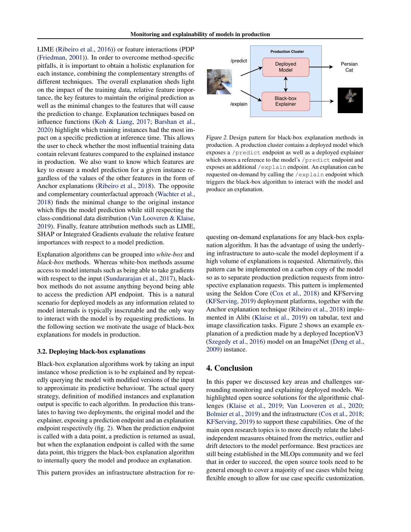LIME [\(Ribeiro et al.,](#page-5-0) [2016\)](#page-5-0)) or feature interactions (PDP [\(Friedman,](#page-4-0) [2001\)](#page-4-0)). In order to overcome method-specific pitfalls, it is important to obtain a holistic explanation for each instance, combining the complementary strengths of different techniques. The overall explanation sheds light on the impact of the training data, relative feature importance, the key features to maintain the original prediction as well as the minimal changes to the features that will cause the prediction to change. Explanation techniques based on influence functions [\(Koh & Liang,](#page-5-0) [2017;](#page-5-0) [Barshan et al.,](#page-4-0) [2020\)](#page-4-0) highlight which training instances had the most impact on a specific prediction at inference time. This allows the user to check whether the most influential training data contain relevant features compared to the explained instance in production. We also want to know which features are key to ensure a model prediction for a given instance regardless of the values of the other features in the form of Anchor explanations [\(Ribeiro et al.,](#page-5-0) [2018\)](#page-5-0). The opposite and complementary counterfactual approach [\(Wachter et al.,](#page-6-0) [2018\)](#page-6-0) finds the minimal change to the original instance which flips the model prediction while still respecting the class-conditional data distribution [\(Van Looveren & Klaise,](#page-6-0) [2019\)](#page-6-0). Finally, feature attribution methods such as LIME, SHAP or Integrated Gradients evaluate the relative feature importances with respect to a model prediction.

Explanation algorithms can be grouped into *white-box* and *black-box* methods. Whereas white-box methods assume access to model internals such as being able to take gradients with respect to the input [\(Sundararajan et al.,](#page-6-0) [2017\)](#page-6-0), blackbox methods do not assume anything beyond being able to access the prediction API endpoint. This is a natural scenario for deployed models as any information related to model internals is typically inscrutable and the only way to interact with the model is by requesting predictions. In the following section we motivate the usage of black-box explanations for models in production.

#### 3.2. Deploying black-box explanations

Black-box explanation algorithms work by taking an input instance whose prediction is to be explained and by repeatedly querying the model with modified versions of the input to approximate its predictive behaviour. The actual query strategy, definition of modified instances and explanation output is specific to each algorithm. In production this translates to having two deployments, the original model and the explainer, exposing a prediction endpoint and an explanation endpoint respectively (fig. 2). When the prediction endpoint is called with a data point, a prediction is returned as usual, but when the explanation endpoint is called with the same data point, this triggers the black-box explanation algorithm to internally query the model and produce an explanation.

This pattern provides an infrastructure abstraction for re-



Figure 2. Design pattern for black-box explanation methods in production. A production cluster contains a deployed model which exposes a /predict endpoint as well as a deployed explainer which stores a reference to the model's /predict endpoint and exposes an additional /explain endpoint. An explanation can be requested on-demand by calling the /explain endpoint which triggers the black-box algorithm to interact with the model and produce an explanation.

questing on-demand explanations for any black-box explanation algorithm. It has the advantage of using the underlying infrastructure to auto-scale the model deployment if a high volume of explanations is requested. Alternatively, this pattern can be implemented on a carbon copy of the model so as to separate production prediction requests from introspective explanation requests. This pattern is implemented using the Seldon Core [\(Cox et al.,](#page-4-0) [2018\)](#page-4-0) and KFServing [\(KFServing,](#page-5-0) [2019\)](#page-5-0) deployment platforms, together with the Anchor explanation technique [\(Ribeiro et al.,](#page-5-0) [2018\)](#page-5-0) implemented in Alibi [\(Klaise et al.,](#page-5-0) [2019\)](#page-5-0) on tabular, text and image classification tasks. Figure 2 shows an example explanation of a prediction made by a deployed InceptionV3 [\(Szegedy et al.,](#page-6-0) [2016\)](#page-6-0) model on an ImageNet [\(Deng et al.,](#page-4-0) [2009\)](#page-4-0) instance.

### 4. Conclusion

In this paper we discussed key areas and challenges surrounding monitoring and explaining deployed models. We highlighted open source solutions for the algorithmic challenges [\(Klaise et al.,](#page-5-0) [2019;](#page-5-0) [Van Looveren et al.,](#page-6-0) [2020;](#page-6-0) [Bolmier et al.,](#page-4-0) [2019\)](#page-4-0) and the infrastructure [\(Cox et al.,](#page-4-0) [2018;](#page-4-0) [KFServing,](#page-5-0) [2019\)](#page-5-0) to support these capabilities. One of the main open research topics is to more directly relate the labelindependent measures obtained from the metrics, outlier and drift detectors to the model performance. Best practices are still being established in the MLOps community and we feel that in order to succeed, the open source tools need to be general enough to cover a majority of use cases whilst being flexible enough to allow for use case specific customization.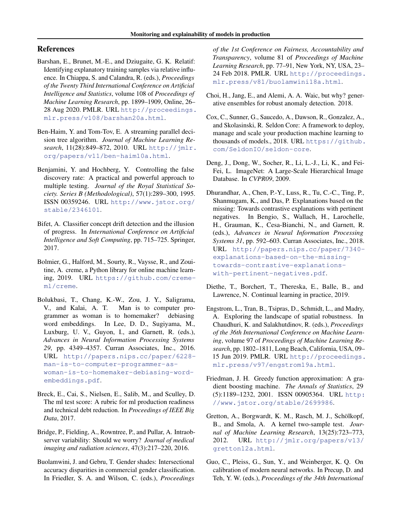# <span id="page-4-0"></span>References

- Barshan, E., Brunet, M.-E., and Dziugaite, G. K. Relatif: Identifying explanatory training samples via relative influence. In Chiappa, S. and Calandra, R. (eds.), *Proceedings of the Twenty Third International Conference on Artificial Intelligence and Statistics*, volume 108 of *Proceedings of Machine Learning Research*, pp. 1899–1909, Online, 26– 28 Aug 2020. PMLR. URL [http://proceedings.](http://proceedings.mlr.press/v108/barshan20a.html) [mlr.press/v108/barshan20a.html](http://proceedings.mlr.press/v108/barshan20a.html).
- Ben-Haim, Y. and Tom-Tov, E. A streaming parallel decision tree algorithm. *Journal of Machine Learning Research*, 11(28):849–872, 2010. URL [http://jmlr.](http://jmlr.org/papers/v11/ben-haim10a.html) [org/papers/v11/ben-haim10a.html](http://jmlr.org/papers/v11/ben-haim10a.html).
- Benjamini, Y. and Hochberg, Y. Controlling the false discovery rate: A practical and powerful approach to multiple testing. *Journal of the Royal Statistical Society. Series B (Methodological)*, 57(1):289–300, 1995. ISSN 00359246. URL [http://www.jstor.org/](http://www.jstor.org/stable/2346101) [stable/2346101](http://www.jstor.org/stable/2346101).
- Bifet, A. Classifier concept drift detection and the illusion of progress. In *International Conference on Artificial Intelligence and Soft Computing*, pp. 715–725. Springer, 2017.
- Bolmier, G., Halford, M., Sourty, R., Vaysse, R., and Zouitine, A. creme, a Python library for online machine learning, 2019. URL [https://github.com/creme](https://github.com/creme-ml/creme)[ml/creme](https://github.com/creme-ml/creme).
- Bolukbasi, T., Chang, K.-W., Zou, J. Y., Saligrama, V., and Kalai, A. T. Man is to computer programmer as woman is to homemaker? debiasing word embeddings. In Lee, D. D., Sugiyama, M., Luxburg, U. V., Guyon, I., and Garnett, R. (eds.), *Advances in Neural Information Processing Systems 29*, pp. 4349–4357. Curran Associates, Inc., 2016. URL [http://papers.nips.cc/paper/6228](http://papers.nips.cc/paper/6228-man-is-to-computer-programmer-as-woman-is-to-homemaker-debiasing-word-embeddings.pdf) [man-is-to-computer-programmer-as](http://papers.nips.cc/paper/6228-man-is-to-computer-programmer-as-woman-is-to-homemaker-debiasing-word-embeddings.pdf)[woman-is-to-homemaker-debiasing-word](http://papers.nips.cc/paper/6228-man-is-to-computer-programmer-as-woman-is-to-homemaker-debiasing-word-embeddings.pdf)[embeddings.pdf](http://papers.nips.cc/paper/6228-man-is-to-computer-programmer-as-woman-is-to-homemaker-debiasing-word-embeddings.pdf).
- Breck, E., Cai, S., Nielsen, E., Salib, M., and Sculley, D. The ml test score: A rubric for ml production readiness and technical debt reduction. In *Proceedings of IEEE Big Data*, 2017.
- Bridge, P., Fielding, A., Rowntree, P., and Pullar, A. Intraobserver variability: Should we worry? *Journal of medical imaging and radiation sciences*, 47(3):217–220, 2016.
- Buolamwini, J. and Gebru, T. Gender shades: Intersectional accuracy disparities in commercial gender classification. In Friedler, S. A. and Wilson, C. (eds.), *Proceedings*

*of the 1st Conference on Fairness, Accountability and Transparency*, volume 81 of *Proceedings of Machine Learning Research*, pp. 77–91, New York, NY, USA, 23– 24 Feb 2018. PMLR. URL [http://proceedings.](http://proceedings.mlr.press/v81/buolamwini18a.html) [mlr.press/v81/buolamwini18a.html](http://proceedings.mlr.press/v81/buolamwini18a.html).

- Choi, H., Jang, E., and Alemi, A. A. Waic, but why? generative ensembles for robust anomaly detection. 2018.
- Cox, C., Sunner, G., Saucedo, A., Dawson, R., Gonzalez, A., and Skolasinski, R. Seldon Core: A framework to deploy, manage and scale your production machine learning to thousands of models., 2018. URL [https://github.](https://github.com/SeldonIO/seldon-core) [com/SeldonIO/seldon-core](https://github.com/SeldonIO/seldon-core).
- Deng, J., Dong, W., Socher, R., Li, L.-J., Li, K., and Fei-Fei, L. ImageNet: A Large-Scale Hierarchical Image Database. In *CVPR09*, 2009.
- Dhurandhar, A., Chen, P.-Y., Luss, R., Tu, C.-C., Ting, P., Shanmugam, K., and Das, P. Explanations based on the missing: Towards contrastive explanations with pertinent negatives. In Bengio, S., Wallach, H., Larochelle, H., Grauman, K., Cesa-Bianchi, N., and Garnett, R. (eds.), *Advances in Neural Information Processing Systems 31*, pp. 592–603. Curran Associates, Inc., 2018. URL [http://papers.nips.cc/paper/7340](http://papers.nips.cc/paper/7340-explanations-based-on-the-missing-towards-contrastive-explanations-with-pertinent-negatives.pdf) [explanations-based-on-the-missing](http://papers.nips.cc/paper/7340-explanations-based-on-the-missing-towards-contrastive-explanations-with-pertinent-negatives.pdf)[towards-contrastive-explanations](http://papers.nips.cc/paper/7340-explanations-based-on-the-missing-towards-contrastive-explanations-with-pertinent-negatives.pdf)[with-pertinent-negatives.pdf](http://papers.nips.cc/paper/7340-explanations-based-on-the-missing-towards-contrastive-explanations-with-pertinent-negatives.pdf).
- Diethe, T., Borchert, T., Thereska, E., Balle, B., and Lawrence, N. Continual learning in practice, 2019.
- Engstrom, L., Tran, B., Tsipras, D., Schmidt, L., and Madry, A. Exploring the landscape of spatial robustness. In Chaudhuri, K. and Salakhutdinov, R. (eds.), *Proceedings of the 36th International Conference on Machine Learning*, volume 97 of *Proceedings of Machine Learning Research*, pp. 1802–1811, Long Beach, California, USA, 09– 15 Jun 2019. PMLR. URL [http://proceedings.](http://proceedings.mlr.press/v97/engstrom19a.html) [mlr.press/v97/engstrom19a.html](http://proceedings.mlr.press/v97/engstrom19a.html).
- Friedman, J. H. Greedy function approximation: A gradient boosting machine. *The Annals of Statistics*, 29 (5):1189–1232, 2001. ISSN 00905364. URL [http:](http://www.jstor.org/stable/2699986) [//www.jstor.org/stable/2699986](http://www.jstor.org/stable/2699986).
- Gretton, A., Borgwardt, K. M., Rasch, M. J., Schölkopf, B., and Smola, A. A kernel two-sample test. *Journal of Machine Learning Research*, 13(25):723–773, 2012. URL [http://jmlr.org/papers/v13/](http://jmlr.org/papers/v13/gretton12a.html) [gretton12a.html](http://jmlr.org/papers/v13/gretton12a.html).
- Guo, C., Pleiss, G., Sun, Y., and Weinberger, K. Q. On calibration of modern neural networks. In Precup, D. and Teh, Y. W. (eds.), *Proceedings of the 34th International*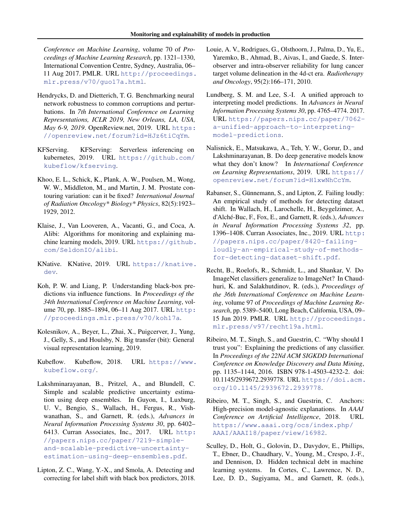<span id="page-5-0"></span>*Conference on Machine Learning*, volume 70 of *Proceedings of Machine Learning Research*, pp. 1321–1330, International Convention Centre, Sydney, Australia, 06– 11 Aug 2017. PMLR. URL [http://proceedings.](http://proceedings.mlr.press/v70/guo17a.html) [mlr.press/v70/guo17a.html](http://proceedings.mlr.press/v70/guo17a.html).

- Hendrycks, D. and Dietterich, T. G. Benchmarking neural network robustness to common corruptions and perturbations. In *7th International Conference on Learning Representations, ICLR 2019, New Orleans, LA, USA, May 6-9, 2019*. OpenReview.net, 2019. URL [https:](https://openreview.net/forum?id=HJz6tiCqYm) [//openreview.net/forum?id=HJz6tiCqYm](https://openreview.net/forum?id=HJz6tiCqYm).
- KFServing. KFServing: Serverless inferencing on kubernetes, 2019. URL [https://github.com/](https://github.com/kubeflow/kfserving) [kubeflow/kfserving](https://github.com/kubeflow/kfserving).
- Khoo, E. L., Schick, K., Plank, A. W., Poulsen, M., Wong, W. W., Middleton, M., and Martin, J. M. Prostate contouring variation: can it be fixed? *International Journal of Radiation Oncology\* Biology\* Physics*, 82(5):1923– 1929, 2012.
- Klaise, J., Van Looveren, A., Vacanti, G., and Coca, A. Alibi: Algorithms for monitoring and explaining machine learning models, 2019. URL [https://github.](https://github.com/SeldonIO/alibi) [com/SeldonIO/alibi](https://github.com/SeldonIO/alibi).
- KNative. KNative, 2019. URL [https://knative.](https://knative.dev) [dev](https://knative.dev).
- Koh, P. W. and Liang, P. Understanding black-box predictions via influence functions. In *Proceedings of the 34th International Conference on Machine Learning*, volume 70, pp. 1885–1894, 06–11 Aug 2017. URL [http:](http://proceedings.mlr.press/v70/koh17a) [//proceedings.mlr.press/v70/koh17a](http://proceedings.mlr.press/v70/koh17a).
- Kolesnikov, A., Beyer, L., Zhai, X., Puigcerver, J., Yung, J., Gelly, S., and Houlsby, N. Big transfer (bit): General visual representation learning, 2019.
- Kubeflow. Kubeflow, 2018. URL [https://www.](https://www.kubeflow.org/) [kubeflow.org/](https://www.kubeflow.org/).
- Lakshminarayanan, B., Pritzel, A., and Blundell, C. Simple and scalable predictive uncertainty estimation using deep ensembles. In Guyon, I., Luxburg, U. V., Bengio, S., Wallach, H., Fergus, R., Vishwanathan, S., and Garnett, R. (eds.), *Advances in Neural Information Processing Systems 30*, pp. 6402– 6413. Curran Associates, Inc., 2017. URL [http:](http://papers.nips.cc/paper/7219-simple-and-scalable-predictive-uncertainty-estimation-using-deep-ensembles.pdf) [//papers.nips.cc/paper/7219-simple](http://papers.nips.cc/paper/7219-simple-and-scalable-predictive-uncertainty-estimation-using-deep-ensembles.pdf)[and-scalable-predictive-uncertainty](http://papers.nips.cc/paper/7219-simple-and-scalable-predictive-uncertainty-estimation-using-deep-ensembles.pdf)[estimation-using-deep-ensembles.pdf](http://papers.nips.cc/paper/7219-simple-and-scalable-predictive-uncertainty-estimation-using-deep-ensembles.pdf).
- Lipton, Z. C., Wang, Y.-X., and Smola, A. Detecting and correcting for label shift with black box predictors, 2018.
- Louie, A. V., Rodrigues, G., Olsthoorn, J., Palma, D., Yu, E., Yaremko, B., Ahmad, B., Aivas, I., and Gaede, S. Interobserver and intra-observer reliability for lung cancer target volume delineation in the 4d-ct era. *Radiotherapy and Oncology*, 95(2):166–171, 2010.
- Lundberg, S. M. and Lee, S.-I. A unified approach to interpreting model predictions. In *Advances in Neural Information Processing Systems 30*, pp. 4765–4774. 2017. URL [https://papers.nips.cc/paper/7062](https://papers.nips.cc/paper/7062-a-unified-approach-to-interpreting-model-predictions) [a-unified-approach-to-interpreting](https://papers.nips.cc/paper/7062-a-unified-approach-to-interpreting-model-predictions)[model-predictions](https://papers.nips.cc/paper/7062-a-unified-approach-to-interpreting-model-predictions).
- Nalisnick, E., Matsukawa, A., Teh, Y. W., Gorur, D., and Lakshminarayanan, B. Do deep generative models know what they don't know? In *International Conference on Learning Representations*, 2019. URL [https://](https://openreview.net/forum?id=H1xwNhCcYm) [openreview.net/forum?id=H1xwNhCcYm](https://openreview.net/forum?id=H1xwNhCcYm).
- Rabanser, S., Günnemann, S., and Lipton, Z. Failing loudly: An empirical study of methods for detecting dataset shift. In Wallach, H., Larochelle, H., Beygelzimer, A., d'Alché-Buc, F., Fox, E., and Garnett, R. (eds.), *Advances in Neural Information Processing Systems 32*, pp. 1396–1408. Curran Associates, Inc., 2019. URL [http:](http://papers.nips.cc/paper/8420-failing-loudly-an-empirical-study-of-methods-for-detecting-dataset-shift.pdf) [//papers.nips.cc/paper/8420-failing](http://papers.nips.cc/paper/8420-failing-loudly-an-empirical-study-of-methods-for-detecting-dataset-shift.pdf)[loudly-an-empirical-study-of-methods](http://papers.nips.cc/paper/8420-failing-loudly-an-empirical-study-of-methods-for-detecting-dataset-shift.pdf)[for-detecting-dataset-shift.pdf](http://papers.nips.cc/paper/8420-failing-loudly-an-empirical-study-of-methods-for-detecting-dataset-shift.pdf).
- Recht, B., Roelofs, R., Schmidt, L., and Shankar, V. Do ImageNet classifiers generalize to ImageNet? In Chaudhuri, K. and Salakhutdinov, R. (eds.), *Proceedings of the 36th International Conference on Machine Learning*, volume 97 of *Proceedings of Machine Learning Research*, pp. 5389–5400, Long Beach, California, USA, 09– 15 Jun 2019. PMLR. URL [http://proceedings.](http://proceedings.mlr.press/v97/recht19a.html) [mlr.press/v97/recht19a.html](http://proceedings.mlr.press/v97/recht19a.html).
- Ribeiro, M. T., Singh, S., and Guestrin, C. "Why should I trust you": Explaining the predictions of any classifier. In *Proceedings of the 22Nd ACM SIGKDD International Conference on Knowledge Discovery and Data Mining*, pp. 1135–1144, 2016. ISBN 978-1-4503-4232-2. doi: 10.1145/2939672.2939778. URL [https://doi.acm.](https://doi.acm.org/10.1145/2939672.2939778) [org/10.1145/2939672.2939778](https://doi.acm.org/10.1145/2939672.2939778).
- Ribeiro, M. T., Singh, S., and Guestrin, C. Anchors: High-precision model-agnostic explanations. In *AAAI Conference on Artificial Intelligence*, 2018. URL [https://www.aaai.org/ocs/index.php/](https://www.aaai.org/ocs/index.php/AAAI/AAAI18/paper/view/16982) [AAAI/AAAI18/paper/view/16982](https://www.aaai.org/ocs/index.php/AAAI/AAAI18/paper/view/16982).
- Sculley, D., Holt, G., Golovin, D., Davydov, E., Phillips, T., Ebner, D., Chaudhary, V., Young, M., Crespo, J.-F., and Dennison, D. Hidden technical debt in machine learning systems. In Cortes, C., Lawrence, N. D., Lee, D. D., Sugiyama, M., and Garnett, R. (eds.),